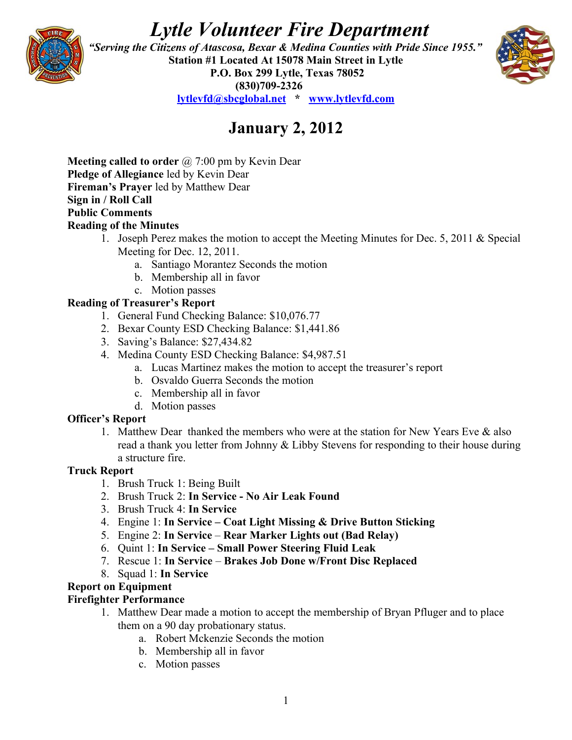# *Lytle Volunteer Fire Department*



 *"Serving the Citizens of Atascosa, Bexar & Medina Counties with Pride Since 1955."*  **Station #1 Located At 15078 Main Street in Lytle P.O. Box 299 Lytle, Texas 78052 (830)709-2326 [lytlevfd@sbcglobal.net](mailto:lytlevfd@sbcglobal.net) \* [www.lytlevfd.com](http://www.lytlevfd.com/)**



## **January 2, 2012**

**Meeting called to order** @ 7:00 pm by Kevin Dear **Pledge of Allegiance** led by Kevin Dear **Fireman's Prayer** led by Matthew Dear **Sign in / Roll Call Public Comments Reading of the Minutes**

- 1. Joseph Perez makes the motion to accept the Meeting Minutes for Dec. 5, 2011 & Special Meeting for Dec. 12, 2011.
	- a. Santiago Morantez Seconds the motion
	- b. Membership all in favor
- c. Motion passes

## **Reading of Treasurer's Report**

- 1. General Fund Checking Balance: \$10,076.77
- 2. Bexar County ESD Checking Balance: \$1,441.86
- 3. Saving's Balance: \$27,434.82
- 4. Medina County ESD Checking Balance: \$4,987.51
	- a. Lucas Martinez makes the motion to accept the treasurer's report
	- b. Osvaldo Guerra Seconds the motion
	- c. Membership all in favor
	- d. Motion passes

### **Officer's Report**

1. Matthew Dear thanked the members who were at the station for New Years Eve & also read a thank you letter from Johnny & Libby Stevens for responding to their house during a structure fire.

### **Truck Report**

- 1. Brush Truck 1: Being Built
- 2. Brush Truck 2: **In Service - No Air Leak Found**
- 3. Brush Truck 4: **In Service**
- 4. Engine 1: **In Service Coat Light Missing & Drive Button Sticking**
- 5. Engine 2: **In Service Rear Marker Lights out (Bad Relay)**
- 6. Quint 1: **In Service Small Power Steering Fluid Leak**
- 7. Rescue 1: **In Service Brakes Job Done w/Front Disc Replaced**
- 8. Squad 1: **In Service**

### **Report on Equipment**

### **Firefighter Performance**

- 1. Matthew Dear made a motion to accept the membership of Bryan Pfluger and to place them on a 90 day probationary status.
	- a. Robert Mckenzie Seconds the motion
	- b. Membership all in favor
	- c. Motion passes